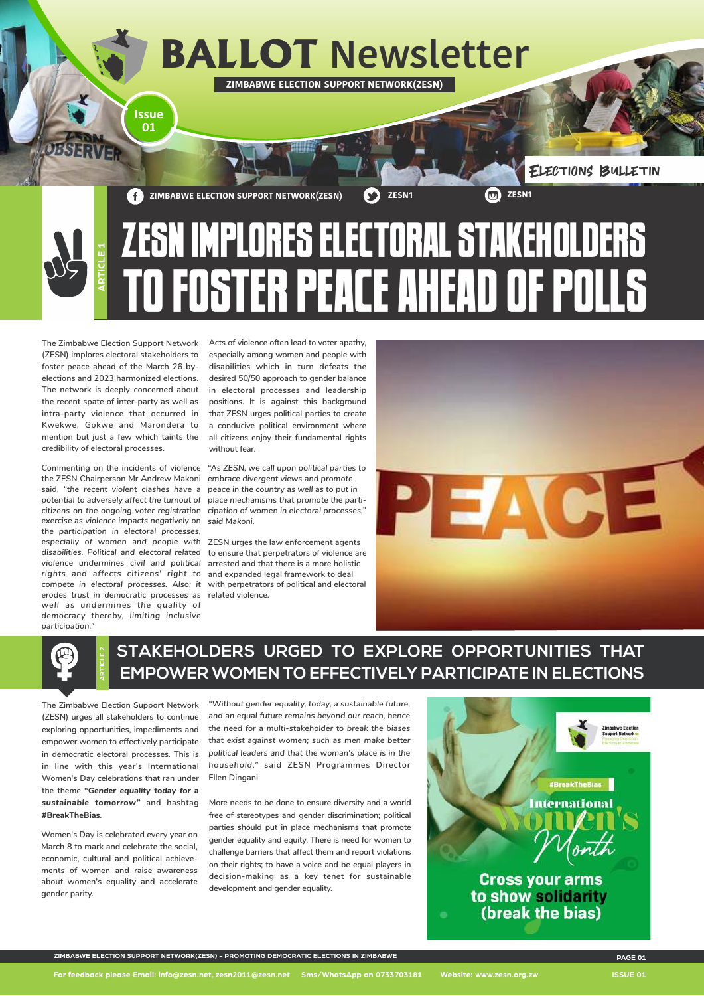

**The Zimbabwe Election Support Network (ZESN) implores electoral stakeholders to foster peace ahead of the March 26 byelections and 2023 harmonized elections. The network is deeply concerned about the recent spate of inter-party as well as intra-party violence that occurred in Kwekwe, Gokwe and Marondera to mention but just a few which taints the credibility of electoral processes.** 

**Commenting on the incidents of violence**  *"As ZESN, we call upon political parties to* **the ZESN Chairperson Mr Andrew Makoni** *embrace divergent views and promote*  **said,** *"the recent violent clashes have a peace in the country as well as to put in potential to adversely affect the turnout of citizens on the ongoing voter registration cipation of women in electoral processes," exercise as violence impacts negatively on said Makoni. the participation in electoral processes, especially of women and people with*  **ZESN urges the law enforcement agents**  *disabilities. Political and electoral related*  **to ensure that perpetrators of violence are** *violence undermines civil and political*  **arrested and that there is a more holistic**  *rights and affects citizens' right to*  **and expanded legal framework to deal**  *compete in electoral processes. Also; it*  **with perpetrators of political and electoral** *erodes trust in democratic processes as*  **related violence.** *well as undermines the quality of democracy thereby, limiting inclusive participation."*

**Acts of violence often lead to voter apathy, especially among women and people with disabilities which in turn defeats the desired 50/50 approach to gender balance in electoral processes and leadership positions. It is against this background that ZESN urges political parties to create a conducive political environment where all citizens enjoy their fundamental rights without fear.** 

*place mechanisms that promote the parti-*



## **STAKEHOLDERS URGED TO EXPLORE OPPORTUNITIES THAT EMPOWER WOMEN TO EFFECTIVELY PARTICIPATE IN ELECTIONS**



**The Zimbabwe Election Support Network (ZESN) urges all stakeholders to continue exploring opportunities, impediments and empower women to effectively participate in democratic electoral processes. This is in line with this year's International Women's Day celebrations that ran under the theme "***Gender equality today for a sustainable tomorrow"* **and hashtag #BreakTheBias***.* 

**Women's Day is celebrated every year on March 8 to mark and celebrate the social, economic, cultural and political achievements of women and raise awareness about women's equality and accelerate gender parity.** 

*"Without gender equality, today, a sustainable future, and an equal future remains beyond our reach, hence the need for a multi-stakeholder to break the biases that exist against women; such as men make better political leaders and that the woman's place is in the household,"* **said ZESN Programmes Director Ellen Dingani.**



**More needs to be done to ensure diversity and a world free of stereotypes and gender discrimination; political parties should put in place mechanisms that promote gender equality and equity. There is need for women to challenge barriers that affect them and report violations on their rights; to have a voice and be equal players in decision-making as a key tenet for sustainable development and gender equality.**



**For feedback please Email: info@zesn.net, zesn2011@zesn.net Sms/WhatsApp on 0733703181 Website: www.zesn.org.zw ISSUE 01**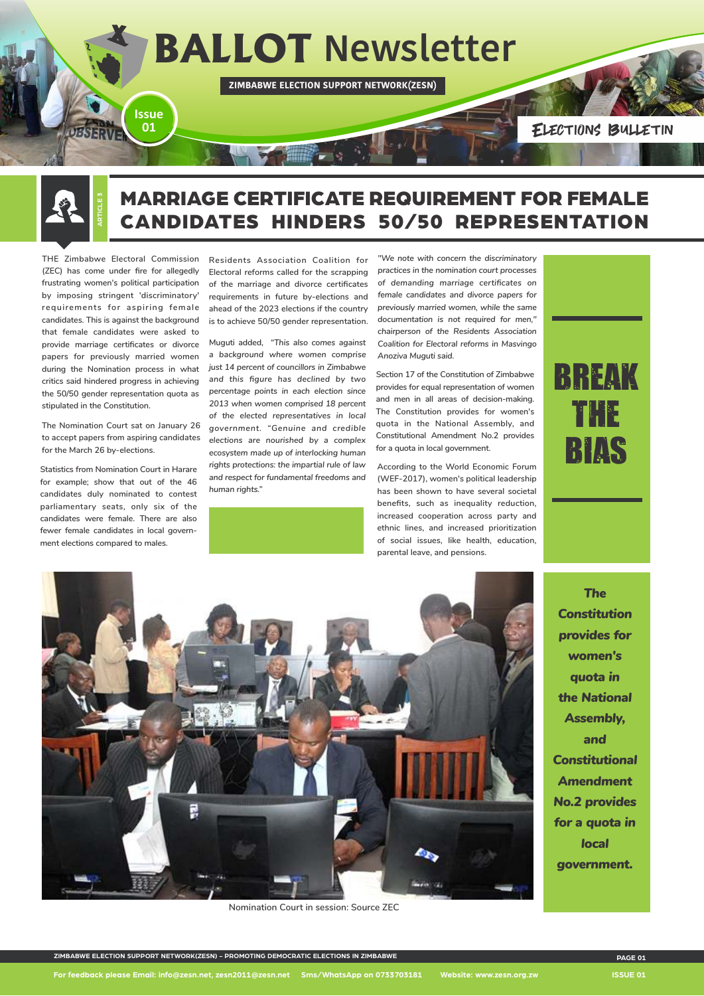

## MARRIAGE CERTIFICATE REQUIREMENT FOR FEMALE CANDIDATES HINDERS 50/50 REPRESENTATION



**THE Zimbabwe Electoral Commission (ZEC) has come under fire for allegedly frustrating women's political participation by imposing stringent 'discriminatory' requirements for aspiring female candidates. This is against the background that female candidates were asked to provide marriage certificates or divorce papers for previously married women during the Nomination process in what critics said hindered progress in achieving the 50/50 gender representation quota as stipulated in the Constitution.**

**The Nomination Court sat on January 26 to accept papers from aspiring candidates for the March 26 by-elections.**

**Statistics from Nomination Court in Harare for example; show that out of the 46 candidates duly nominated to contest parliamentary seats, only six of the candidates were female. There are also fewer female candidates in local government elections compared to males.**

**Residents Association Coalition for Electoral reforms called for the scrapping of the marriage and divorce certificates requirements in future by-elections and ahead of the 2023 elections if the country is to achieve 50/50 gender representation.**

*"We note with concern the discriminatory practices in the nomination court processes of demanding marriage certificates on female candidates and divorce papers for previously married women, while the same documentation is not required for men," chairperson of the Residents Association Coalition for Electoral reforms in Masvingo Anoziva Muguti said.*

**Section 17 of the Constitution of Zimbabwe provides for equal representation of women and men in all areas of decision-making. The Constitution provides for women's quota in the National Assembly, and Constitutional Amendment No.2 provides for a quota in local government.** 

**Muguti added,** *"This also comes against a background where women comprise just 14 percent of councillors in Zimbabwe and this figure has declined by two percentage points in each election since 2013 when women comprised 18 percent of the elected representatives in local government. "Genuine and credible elections are nourished by a complex ecosystem made up of interlocking human rights protections: the impartial rule of law and respect for fundamental freedoms and human rights."*



**According to the World Economic Forum (WEF-2017), women's political leadership has been shown to have several societal benefits, such as inequality reduction, increased cooperation across party and ethnic lines, and increased prioritization of social issues, like health, education, parental leave, and pensions.**





*The Constitution provides for women's quota in the National Assembly, and* 

*Constitutional Amendment No.2 provides for a quota in local government.* 

**For feedback please Email: info@zesn.net, zesn2011@zesn.net Sms/WhatsApp on 0733703181 Website: www.zesn.org.zw ISSUE 01**

**Nomination Court in session: Source ZEC**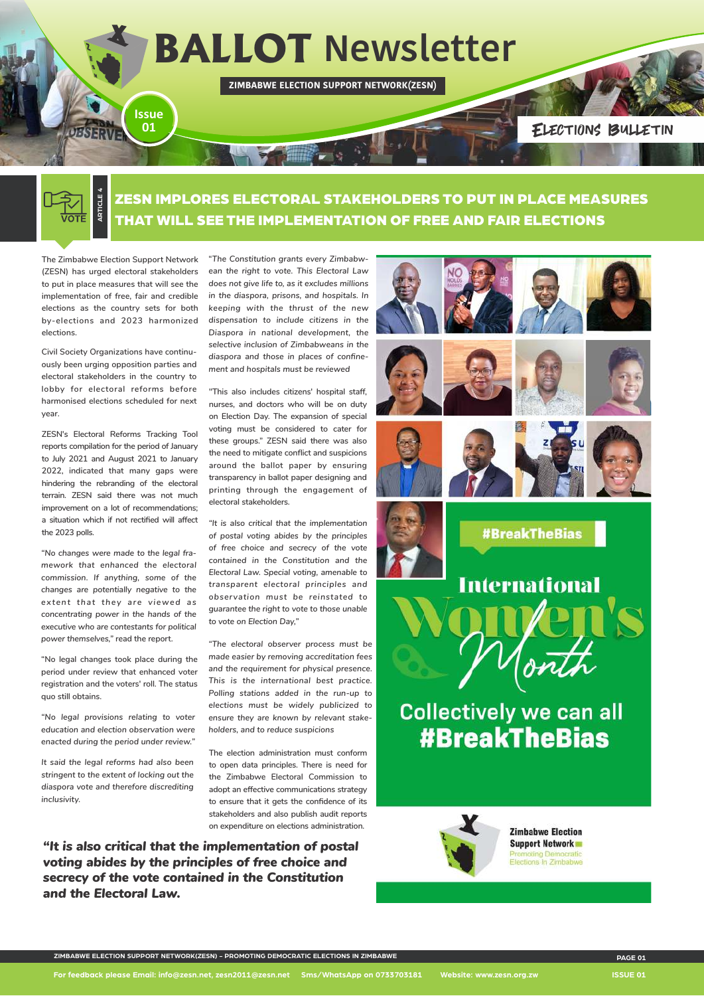Elections Bulletin

**Collectively we can all #BreakTheBias** 

**ZIMBABWE ELECTION SUPPORT NETWORK(ZESN)**

**ARTICLE 4** VOTE

# **BALLOT Newsletter**

ZESN IMPLORES ELECTORAL STAKEHOLDERS TO PUT IN PLACE MEASURES THAT WILL SEE THE IMPLEMENTATION OF FREE AND FAIR ELECTIONS

**Issue 01**

**The Zimbabwe Election Support Network (ZESN) has urged electoral stakeholders to put in place measures that will see the implementation of free, fair and credible elections as the country sets for both by-elections and 2023 harmonized elections.**

**Civil Society Organizations have continuously been urging opposition parties and electoral stakeholders in the country to lobby for electoral reforms before harmonised elections scheduled for next year.** 

**ZESN's Electoral Reforms Tracking Tool reports compilation for the period of January to July 2021 and August 2021 to January 2022, indicated that many gaps were hindering the rebranding of the electoral terrain. ZESN said there was not much improvement on a lot of recommendations; a situation which if not rectified will affect the 2023 polls.**

*"No changes were made to the legal framework that enhanced the electoral commission. If anything, some of the changes are potentially negative to the extent that they are viewed as concentrating power in the hands of the executive who are contestants for political power themselves,"* **read the report.**

**"No legal changes took place during the period under review that enhanced voter registration and the voters' roll. The status quo still obtains.**

*"No legal provisions relating to voter education and election observation were enacted during the period under review."*

*It said the legal reforms had also been stringent to the extent of locking out the diaspora vote and therefore discrediting inclusivity.*

**"***The Constitution grants every Zimbabwean the right to vote. This Electoral Law does not give life to, as it excludes millions in the diaspora, prisons, and hospitals. In keeping with the thrust of the new dispensation to include citizens in the Diaspora in national development, the selective inclusion of Zimbabweans in the diaspora and those in places of confinement and hospitals must be reviewed*

**"This also includes citizens' hospital staff, nurses, and doctors who will be on duty on Election Day. The expansion of special voting must be considered to cater for these groups." ZESN said there was also the need to mitigate conflict and suspicions around the ballot paper by ensuring transparency in ballot paper designing and printing through the engagement of electoral stakeholders.**

*"It is also critical that the implementation of postal voting abides by the principles of free choice and secrecy of the vote contained in the Constitution and the Electoral Law. Special voting, amenable to transparent electoral principles and observation must be reinstated to guarantee the right to vote to those unable to vote on Election Day,"*

*"The electoral observer process must be made easier by removing accreditation fees and the requirement for physical presence. This is the international best practice. Polling stations added in the run-up to elections must be widely publicized to ensure they are known by relevant stakeholders, and to reduce suspicions*

**The election administration must conform to open data principles. There is need for the Zimbabwe Electoral Commission to adopt an effective communications strategy to ensure that it gets the confidence of its stakeholders and also publish audit reports on expenditure on elections administration.**



*"It is also critical that the implementation of postal voting abides by the principles of free choice and secrecy of the vote contained in the Constitution and the Electoral Law.*



**For feedback please Email: info@zesn.net, zesn2011@zesn.net Sms/WhatsApp on 0733703181 Website: www.zesn.org.zw ISSUE 01**